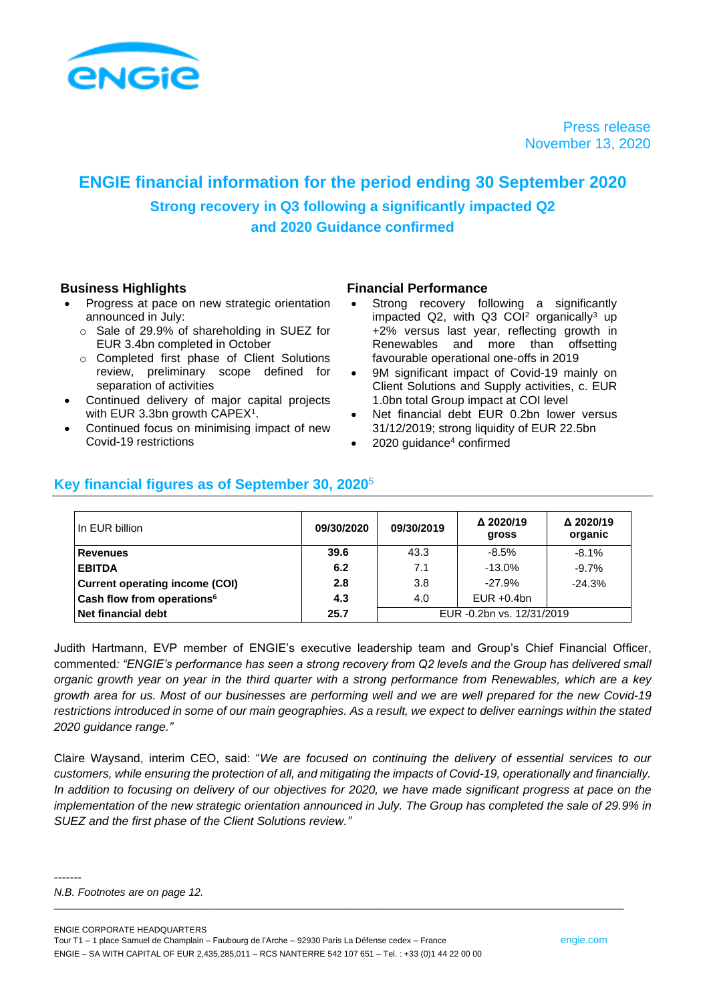

Press release November 13, 2020

# **ENGIE financial information for the period ending 30 September 2020 Strong recovery in Q3 following a significantly impacted Q2 and 2020 Guidance confirmed**

- Progress at pace on new strategic orientation announced in July:
	- o Sale of 29.9% of shareholding in SUEZ for EUR 3.4bn completed in October
	- o Completed first phase of Client Solutions review, preliminary scope defined for separation of activities
- Continued delivery of major capital projects with EUR 3.3bn growth  $CAPEX<sup>1</sup>$ .
- Continued focus on minimising impact of new Covid-19 restrictions

#### **Business Highlights Financial Performance**

- Strong recovery following a significantly impacted  $Q2$ , with  $Q3$  COI<sup>2</sup> organically<sup>3</sup> up +2% versus last year, reflecting growth in Renewables and more than offsetting favourable operational one-offs in 2019
- 9M significant impact of Covid-19 mainly on Client Solutions and Supply activities, c. EUR 1.0bn total Group impact at COI level
- Net financial debt EUR 0.2bn lower versus 31/12/2019; strong liquidity of EUR 22.5bn
- 2020 guidance<sup>4</sup> confirmed

| In EUR billion                         | 09/30/2020 | 09/30/2019                | Δ 2020/19<br>gross | △ 2020/19<br>organic |
|----------------------------------------|------------|---------------------------|--------------------|----------------------|
| <b>Revenues</b>                        | 39.6       | 43.3                      | $-8.5%$            | $-8.1%$              |
| <b>EBITDA</b>                          | 6.2        | 7.1                       | $-13.0%$           | $-9.7%$              |
| <b>Current operating income (COI)</b>  | 2.8        | 3.8                       | $-27.9\%$          | $-24.3%$             |
| Cash flow from operations <sup>6</sup> | 4.3        | 4.0                       | $EUR + 0.4bn$      |                      |
| Net financial debt                     | 25.7       | EUR -0.2bn vs. 12/31/2019 |                    |                      |

## **Key financial figures as of September 30, 2020**<sup>5</sup>

Judith Hartmann, EVP member of ENGIE's executive leadership team and Group's Chief Financial Officer, commented*: "ENGIE's performance has seen a strong recovery from Q2 levels and the Group has delivered small organic growth year on year in the third quarter with a strong performance from Renewables, which are a key growth area for us. Most of our businesses are performing well and we are well prepared for the new Covid-19 restrictions introduced in some of our main geographies. As a result, we expect to deliver earnings within the stated 2020 guidance range."*

Claire Waysand, interim CEO, said: "*We are focused on continuing the delivery of essential services to our customers, while ensuring the protection of all, and mitigating the impacts of Covid-19, operationally and financially. In addition to focusing on delivery of our objectives for 2020, we have made significant progress at pace on the implementation of the new strategic orientation announced in July. The Group has completed the sale of 29.9% in SUEZ and the first phase of the Client Solutions review."*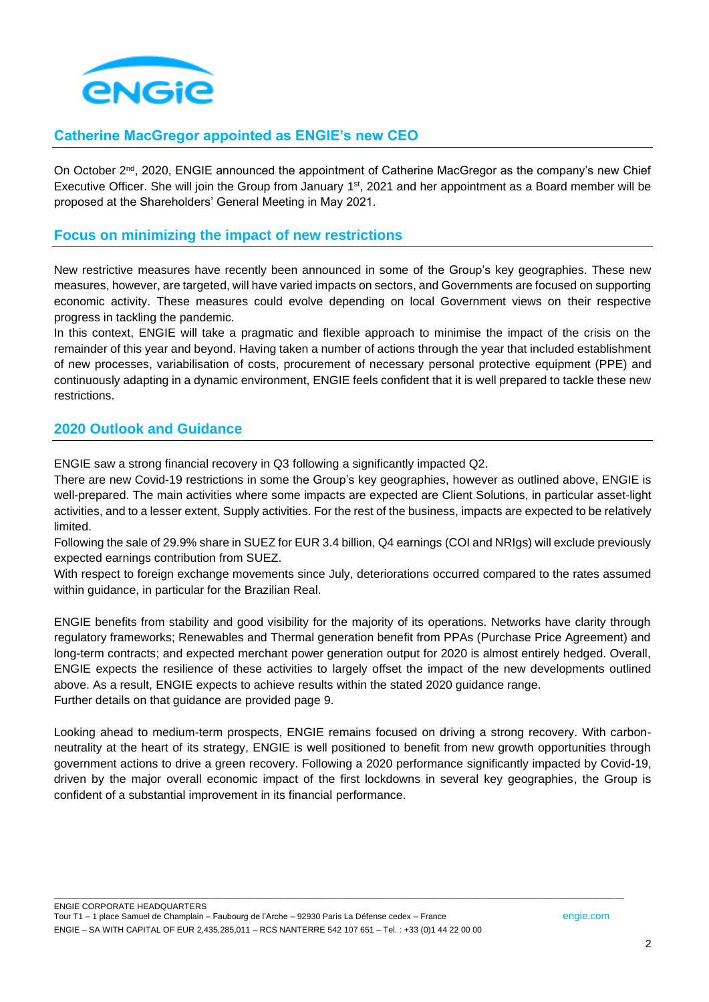

## **Catherine MacGregor appointed as ENGIE's new CEO**

On October 2nd, 2020, ENGIE announced the appointment of Catherine MacGregor as the company's new Chief Executive Officer. She will join the Group from January 1<sup>st</sup>, 2021 and her appointment as a Board member will be proposed at the Shareholders' General Meeting in May 2021.

## **Focus on minimizing the impact of new restrictions**

New restrictive measures have recently been announced in some of the Group's key geographies. These new measures, however, are targeted, will have varied impacts on sectors, and Governments are focused on supporting economic activity. These measures could evolve depending on local Government views on their respective progress in tackling the pandemic.

In this context, ENGIE will take a pragmatic and flexible approach to minimise the impact of the crisis on the remainder of this year and beyond. Having taken a number of actions through the year that included establishment of new processes, variabilisation of costs, procurement of necessary personal protective equipment (PPE) and continuously adapting in a dynamic environment, ENGIE feels confident that it is well prepared to tackle these new restrictions.

## **2020 Outlook and Guidance**

ENGIE saw a strong financial recovery in Q3 following a significantly impacted Q2.

There are new Covid-19 restrictions in some the Group's key geographies, however as outlined above, ENGIE is well-prepared. The main activities where some impacts are expected are Client Solutions, in particular asset-light activities, and to a lesser extent, Supply activities. For the rest of the business, impacts are expected to be relatively limited.

Following the sale of 29.9% share in SUEZ for EUR 3.4 billion, Q4 earnings (COI and NRIgs) will exclude previously expected earnings contribution from SUEZ.

With respect to foreign exchange movements since July, deteriorations occurred compared to the rates assumed within guidance, in particular for the Brazilian Real.

ENGIE benefits from stability and good visibility for the majority of its operations. Networks have clarity through regulatory frameworks; Renewables and Thermal generation benefit from PPAs (Purchase Price Agreement) and long-term contracts; and expected merchant power generation output for 2020 is almost entirely hedged. Overall, ENGIE expects the resilience of these activities to largely offset the impact of the new developments outlined above. As a result, ENGIE expects to achieve results within the stated 2020 guidance range. Further details on that guidance are provided page 9.

Looking ahead to medium-term prospects, ENGIE remains focused on driving a strong recovery. With carbonneutrality at the heart of its strategy, ENGIE is well positioned to benefit from new growth opportunities through government actions to drive a green recovery. Following a 2020 performance significantly impacted by Covid-19, driven by the major overall economic impact of the first lockdowns in several key geographies, the Group is confident of a substantial improvement in its financial performance.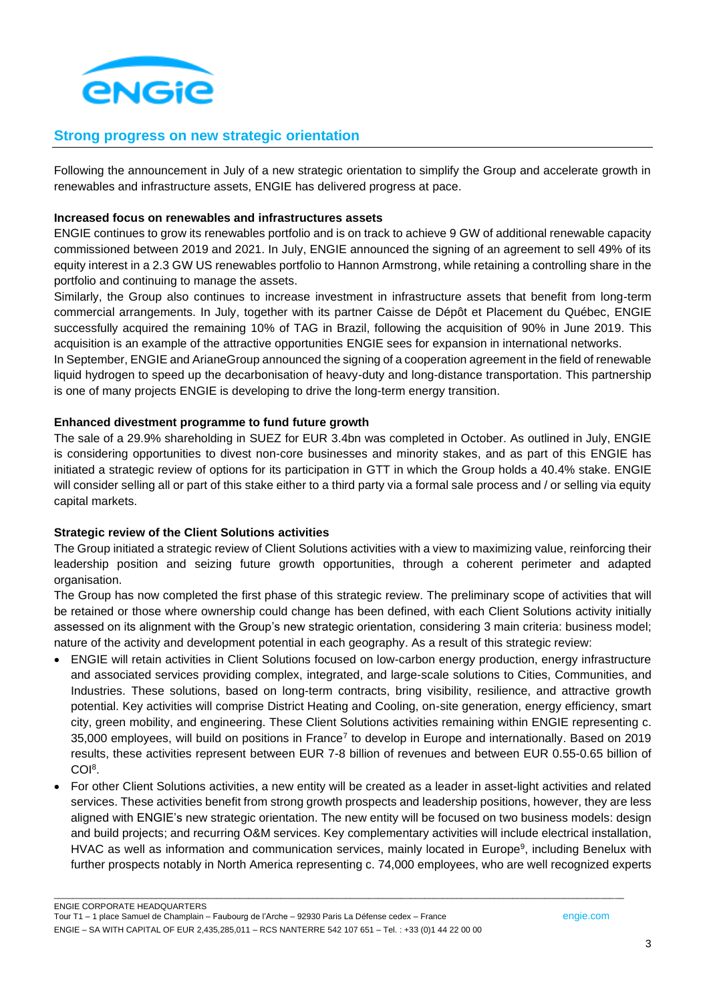

## **Strong progress on new strategic orientation**

Following the announcement in July of a new strategic orientation to simplify the Group and accelerate growth in renewables and infrastructure assets, ENGIE has delivered progress at pace.

#### **Increased focus on renewables and infrastructures assets**

ENGIE continues to grow its renewables portfolio and is on track to achieve 9 GW of additional renewable capacity commissioned between 2019 and 2021. In July, ENGIE announced the signing of an agreement to sell 49% of its equity interest in a 2.3 GW US renewables portfolio to Hannon Armstrong, while retaining a controlling share in the portfolio and continuing to manage the assets.

Similarly, the Group also continues to increase investment in infrastructure assets that benefit from long-term commercial arrangements. In July, together with its partner Caisse de Dépôt et Placement du Québec, ENGIE successfully acquired the remaining 10% of TAG in Brazil, following the acquisition of 90% in June 2019. This acquisition is an example of the attractive opportunities ENGIE sees for expansion in international networks.

In September, ENGIE and ArianeGroup announced the signing of a cooperation agreement in the field of renewable liquid hydrogen to speed up the decarbonisation of heavy-duty and long-distance transportation. This partnership is one of many projects ENGIE is developing to drive the long-term energy transition.

#### **Enhanced divestment programme to fund future growth**

The sale of a 29.9% shareholding in SUEZ for EUR 3.4bn was completed in October. As outlined in July, ENGIE is considering opportunities to divest non-core businesses and minority stakes, and as part of this ENGIE has initiated a strategic review of options for its participation in GTT in which the Group holds a 40.4% stake. ENGIE will consider selling all or part of this stake either to a third party via a formal sale process and / or selling via equity capital markets.

#### **Strategic review of the Client Solutions activities**

The Group initiated a strategic review of Client Solutions activities with a view to maximizing value, reinforcing their leadership position and seizing future growth opportunities, through a coherent perimeter and adapted organisation.

The Group has now completed the first phase of this strategic review. The preliminary scope of activities that will be retained or those where ownership could change has been defined, with each Client Solutions activity initially assessed on its alignment with the Group's new strategic orientation, considering 3 main criteria: business model; nature of the activity and development potential in each geography. As a result of this strategic review:

- ENGIE will retain activities in Client Solutions focused on low-carbon energy production, energy infrastructure and associated services providing complex, integrated, and large-scale solutions to Cities, Communities, and Industries. These solutions, based on long-term contracts, bring visibility, resilience, and attractive growth potential. Key activities will comprise District Heating and Cooling, on-site generation, energy efficiency, smart city, green mobility, and engineering. These Client Solutions activities remaining within ENGIE representing c. 35,000 employees, will build on positions in France<sup>7</sup> to develop in Europe and internationally. Based on 2019 results, these activities represent between EUR 7-8 billion of revenues and between EUR 0.55-0.65 billion of COI<sup>8</sup> .
- For other Client Solutions activities, a new entity will be created as a leader in asset-light activities and related services. These activities benefit from strong growth prospects and leadership positions, however, they are less aligned with ENGIE's new strategic orientation. The new entity will be focused on two business models: design and build projects; and recurring O&M services. Key complementary activities will include electrical installation, HVAC as well as information and communication services, mainly located in Europe<sup>9</sup>, including Benelux with further prospects notably in North America representing c. 74,000 employees, who are well recognized experts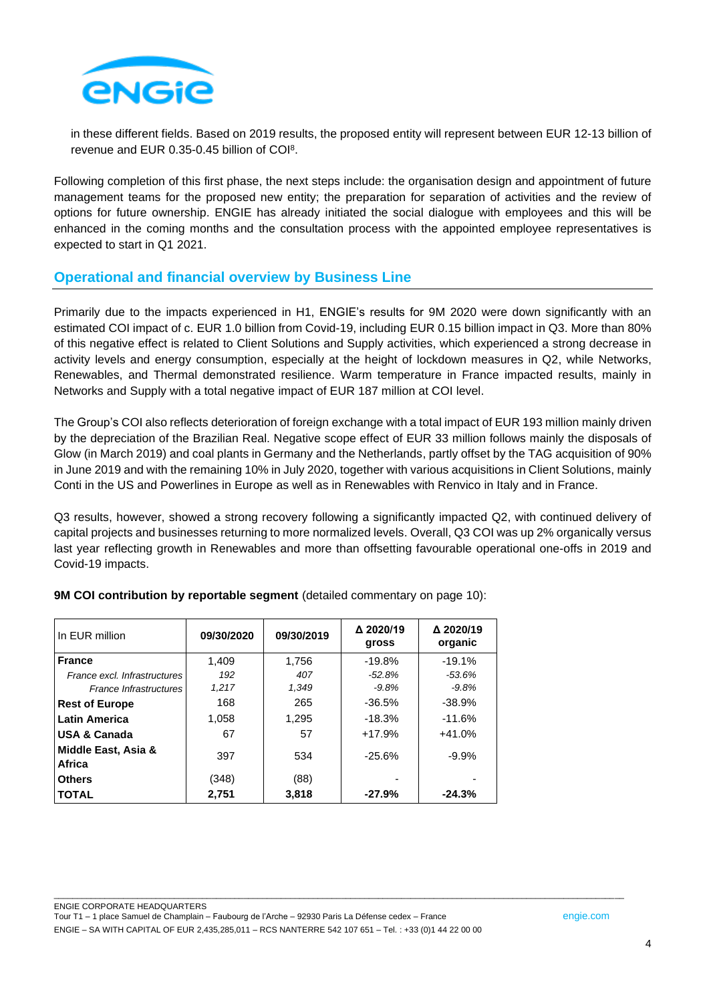

in these different fields. Based on 2019 results, the proposed entity will represent between EUR 12-13 billion of revenue and EUR 0.35-0.45 billion of COI<sup>8</sup>.

Following completion of this first phase, the next steps include: the organisation design and appointment of future management teams for the proposed new entity; the preparation for separation of activities and the review of options for future ownership. ENGIE has already initiated the social dialogue with employees and this will be enhanced in the coming months and the consultation process with the appointed employee representatives is expected to start in Q1 2021.

## **Operational and financial overview by Business Line**

Primarily due to the impacts experienced in H1, ENGIE's results for 9M 2020 were down significantly with an estimated COI impact of c. EUR 1.0 billion from Covid-19, including EUR 0.15 billion impact in Q3. More than 80% of this negative effect is related to Client Solutions and Supply activities, which experienced a strong decrease in activity levels and energy consumption, especially at the height of lockdown measures in Q2, while Networks, Renewables, and Thermal demonstrated resilience. Warm temperature in France impacted results, mainly in Networks and Supply with a total negative impact of EUR 187 million at COI level.

The Group's COI also reflects deterioration of foreign exchange with a total impact of EUR 193 million mainly driven by the depreciation of the Brazilian Real. Negative scope effect of EUR 33 million follows mainly the disposals of Glow (in March 2019) and coal plants in Germany and the Netherlands, partly offset by the TAG acquisition of 90% in June 2019 and with the remaining 10% in July 2020, together with various acquisitions in Client Solutions, mainly Conti in the US and Powerlines in Europe as well as in Renewables with Renvico in Italy and in France.

Q3 results, however, showed a strong recovery following a significantly impacted Q2, with continued delivery of capital projects and businesses returning to more normalized levels. Overall, Q3 COI was up 2% organically versus last year reflecting growth in Renewables and more than offsetting favourable operational one-offs in 2019 and Covid-19 impacts.

| In EUR million                | 09/30/2020 | 09/30/2019 | Δ 2020/19<br>gross | Δ 2020/19<br>organic |
|-------------------------------|------------|------------|--------------------|----------------------|
| <b>France</b>                 | 1.409      | 1,756      | $-19.8%$           | $-19.1%$             |
| France excl. Infrastructures  | 192        | 407        | $-52.8%$           | -53.6%               |
| France Infrastructures        | 1.217      | 1,349      | $-9.8\%$           | $-9.8\%$             |
| <b>Rest of Europe</b>         | 168        | 265        | $-36.5%$           | $-38.9%$             |
| <b>Latin America</b>          | 1.058      | 1,295      | $-18.3%$           | $-11.6%$             |
| <b>USA &amp; Canada</b>       | 67         | 57         | $+17.9%$           | $+41.0%$             |
| Middle East, Asia &<br>Africa | 397        | 534        | $-25.6%$           | $-9.9%$              |
| <b>Others</b>                 | (348)      | (88)       |                    |                      |
| <b>TOTAL</b>                  | 2,751      | 3,818      | $-27.9%$           | $-24.3%$             |

**9M COI contribution by reportable segment** (detailed commentary on page 10):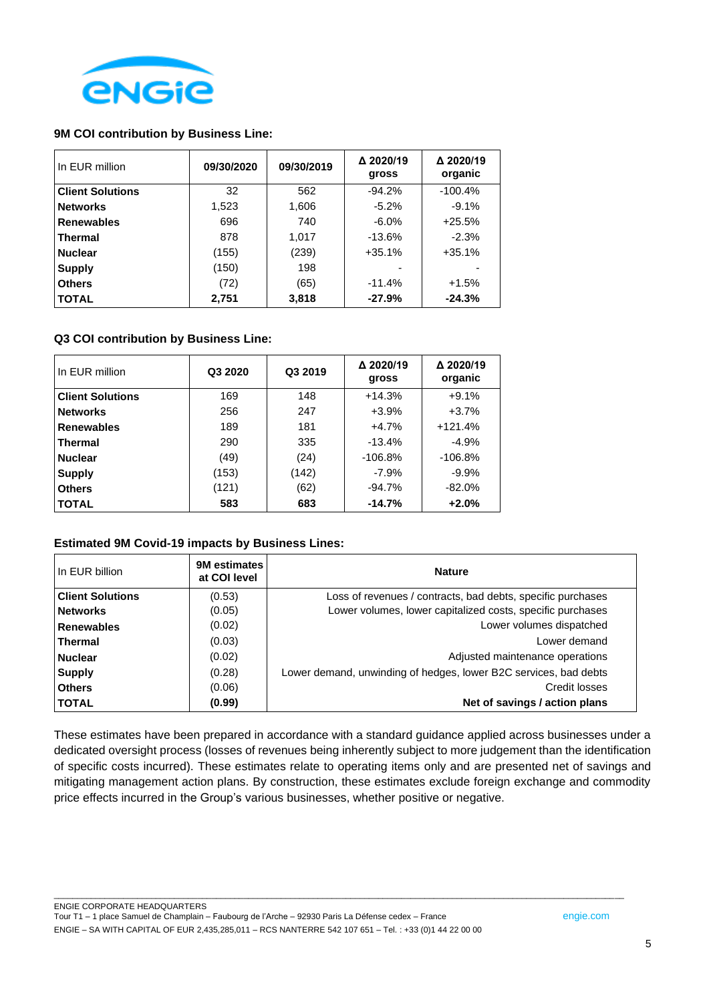

#### **9M COI contribution by Business Line:**

| In EUR million          | 09/30/2020 | 09/30/2019 | Δ 2020/19<br>gross | Δ 2020/19<br>organic |
|-------------------------|------------|------------|--------------------|----------------------|
| <b>Client Solutions</b> | 32         | 562        | $-94.2%$           | $-100.4%$            |
| <b>Networks</b>         | 1,523      | 1,606      | $-5.2%$            | $-9.1%$              |
| <b>Renewables</b>       | 696        | 740        | $-6.0\%$           | $+25.5%$             |
| <b>Thermal</b>          | 878        | 1,017      | $-13.6%$           | $-2.3%$              |
| <b>Nuclear</b>          | (155)      | (239)      | $+35.1%$           | $+35.1%$             |
| <b>Supply</b>           | (150)      | 198        |                    |                      |
| <b>Others</b>           | (72)       | (65)       | $-11.4%$           | $+1.5%$              |
| <b>TOTAL</b>            | 2,751      | 3,818      | $-27.9%$           | $-24.3%$             |

#### **Q3 COI contribution by Business Line:**

| l In EUR million        | Q3 2020 | Q3 2019 | Δ 2020/19<br>gross | Δ 2020/19<br>organic |
|-------------------------|---------|---------|--------------------|----------------------|
| <b>Client Solutions</b> | 169     | 148     | $+14.3%$           | $+9.1%$              |
| <b>Networks</b>         | 256     | 247     | $+3.9%$            | $+3.7%$              |
| <b>Renewables</b>       | 189     | 181     | $+4.7%$            | $+121.4%$            |
| Thermal                 | 290     | 335     | $-13.4%$           | $-4.9%$              |
| <b>Nuclear</b>          | (49)    | (24)    | $-106.8%$          | $-106.8%$            |
| <b>Supply</b>           | (153)   | (142)   | $-7.9\%$           | $-9.9%$              |
| <b>Others</b>           | (121)   | (62)    | $-94.7%$           | $-82.0%$             |
| <b>TOTAL</b>            | 583     | 683     | $-14.7%$           | $+2.0%$              |

#### **Estimated 9M Covid-19 impacts by Business Lines:**

| In EUR billion          | <b>9M</b> estimates<br>at COI level | <b>Nature</b>                                                    |  |
|-------------------------|-------------------------------------|------------------------------------------------------------------|--|
| <b>Client Solutions</b> | (0.53)                              | Loss of revenues / contracts, bad debts, specific purchases      |  |
| <b>Networks</b>         | (0.05)                              | Lower volumes, lower capitalized costs, specific purchases       |  |
| <b>Renewables</b>       | (0.02)                              | Lower volumes dispatched                                         |  |
| <b>Thermal</b>          | (0.03)                              | Lower demand                                                     |  |
| <b>Nuclear</b>          | (0.02)                              | Adjusted maintenance operations                                  |  |
| <b>Supply</b>           | (0.28)                              | Lower demand, unwinding of hedges, lower B2C services, bad debts |  |
| <b>Others</b>           | (0.06)                              | Credit losses                                                    |  |
| <b>TOTAL</b>            | (0.99)                              | Net of savings / action plans                                    |  |

These estimates have been prepared in accordance with a standard guidance applied across businesses under a dedicated oversight process (losses of revenues being inherently subject to more judgement than the identification of specific costs incurred). These estimates relate to operating items only and are presented net of savings and mitigating management action plans. By construction, these estimates exclude foreign exchange and commodity price effects incurred in the Group's various businesses, whether positive or negative.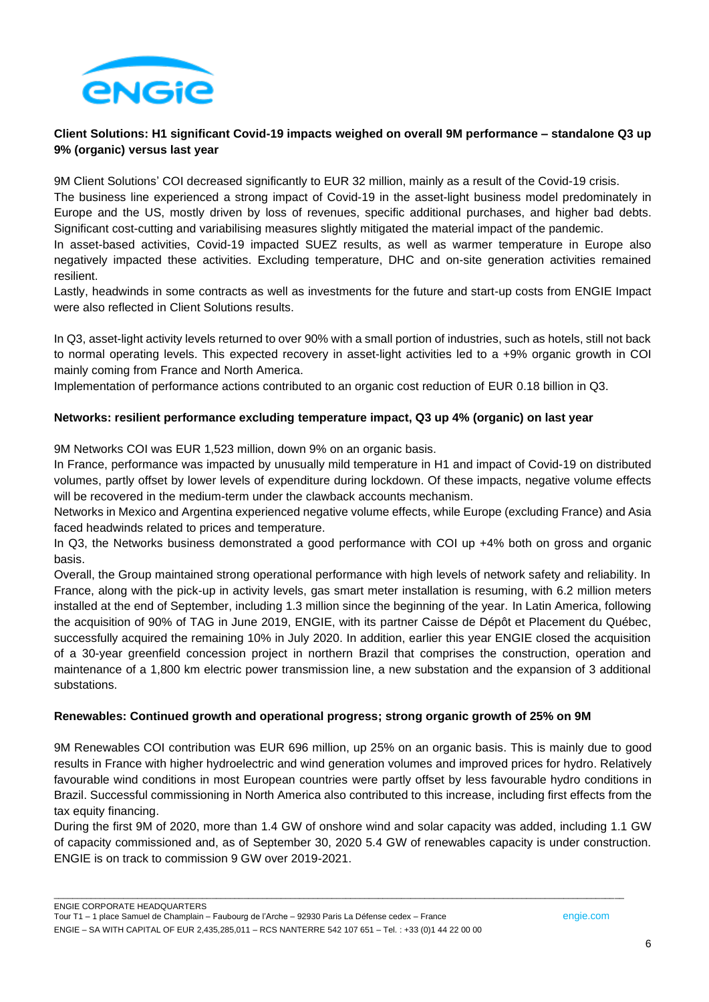

## **Client Solutions: H1 significant Covid-19 impacts weighed on overall 9M performance – standalone Q3 up 9% (organic) versus last year**

9M Client Solutions' COI decreased significantly to EUR 32 million, mainly as a result of the Covid-19 crisis.

The business line experienced a strong impact of Covid-19 in the asset-light business model predominately in Europe and the US, mostly driven by loss of revenues, specific additional purchases, and higher bad debts. Significant cost-cutting and variabilising measures slightly mitigated the material impact of the pandemic.

In asset-based activities, Covid-19 impacted SUEZ results, as well as warmer temperature in Europe also negatively impacted these activities. Excluding temperature, DHC and on-site generation activities remained resilient.

Lastly, headwinds in some contracts as well as investments for the future and start-up costs from ENGIE Impact were also reflected in Client Solutions results.

In Q3, asset-light activity levels returned to over 90% with a small portion of industries, such as hotels, still not back to normal operating levels. This expected recovery in asset-light activities led to a +9% organic growth in COI mainly coming from France and North America.

Implementation of performance actions contributed to an organic cost reduction of EUR 0.18 billion in Q3.

### **Networks: resilient performance excluding temperature impact, Q3 up 4% (organic) on last year**

9M Networks COI was EUR 1,523 million, down 9% on an organic basis.

In France, performance was impacted by unusually mild temperature in H1 and impact of Covid-19 on distributed volumes, partly offset by lower levels of expenditure during lockdown. Of these impacts, negative volume effects will be recovered in the medium-term under the clawback accounts mechanism.

Networks in Mexico and Argentina experienced negative volume effects, while Europe (excluding France) and Asia faced headwinds related to prices and temperature.

In Q3, the Networks business demonstrated a good performance with COI up +4% both on gross and organic basis.

Overall, the Group maintained strong operational performance with high levels of network safety and reliability. In France, along with the pick-up in activity levels, gas smart meter installation is resuming, with 6.2 million meters installed at the end of September, including 1.3 million since the beginning of the year. In Latin America, following the acquisition of 90% of TAG in June 2019, ENGIE, with its partner Caisse de Dépôt et Placement du Québec, successfully acquired the remaining 10% in July 2020. In addition, earlier this year ENGIE closed the acquisition of a 30-year greenfield concession project in northern Brazil that comprises the construction, operation and maintenance of a 1,800 km electric power transmission line, a new substation and the expansion of 3 additional substations.

### **Renewables: Continued growth and operational progress; strong organic growth of 25% on 9M**

9M Renewables COI contribution was EUR 696 million, up 25% on an organic basis. This is mainly due to good results in France with higher hydroelectric and wind generation volumes and improved prices for hydro. Relatively favourable wind conditions in most European countries were partly offset by less favourable hydro conditions in Brazil. Successful commissioning in North America also contributed to this increase, including first effects from the tax equity financing.

During the first 9M of 2020, more than 1.4 GW of onshore wind and solar capacity was added, including 1.1 GW of capacity commissioned and, as of September 30, 2020 5.4 GW of renewables capacity is under construction. ENGIE is on track to commission 9 GW over 2019-2021.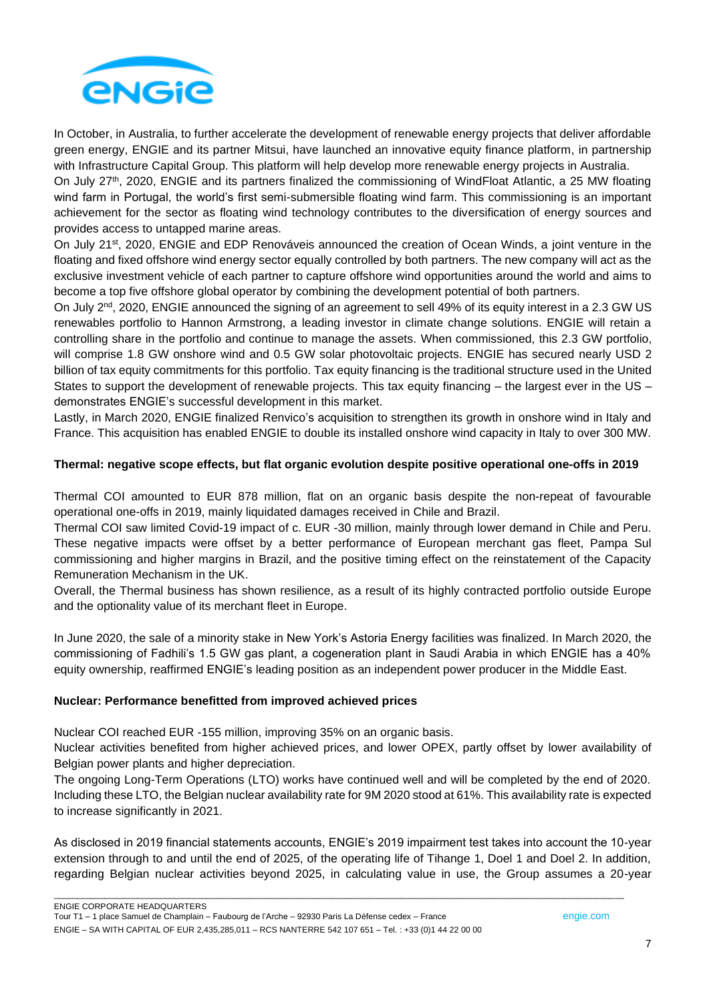

In October, in Australia, to further accelerate the development of renewable energy projects that deliver affordable green energy, ENGIE and its partner Mitsui, have launched an innovative equity finance platform, in partnership with Infrastructure Capital Group. This platform will help develop more renewable energy projects in Australia.

On July 27th, 2020, ENGIE and its partners finalized the commissioning of WindFloat Atlantic, a 25 MW floating wind farm in Portugal, the world's first semi-submersible floating wind farm. This commissioning is an important achievement for the sector as floating wind technology contributes to the diversification of energy sources and provides access to untapped marine areas.

On July 21st, 2020, ENGIE and EDP Renováveis announced the creation of Ocean Winds, a joint venture in the floating and fixed offshore wind energy sector equally controlled by both partners. The new company will act as the exclusive investment vehicle of each partner to capture offshore wind opportunities around the world and aims to become a top five offshore global operator by combining the development potential of both partners.

On July 2nd, 2020, ENGIE announced the signing of an agreement to sell 49% of its equity interest in a 2.3 GW US renewables portfolio to Hannon Armstrong, a leading investor in climate change solutions. ENGIE will retain a controlling share in the portfolio and continue to manage the assets. When commissioned, this 2.3 GW portfolio, will comprise 1.8 GW onshore wind and 0.5 GW solar photovoltaic projects. ENGIE has secured nearly USD 2 billion of tax equity commitments for this portfolio. Tax equity financing is the traditional structure used in the United States to support the development of renewable projects. This tax equity financing – the largest ever in the US – demonstrates ENGIE's successful development in this market.

Lastly, in March 2020, ENGIE finalized Renvico's acquisition to strengthen its growth in onshore wind in Italy and France. This acquisition has enabled ENGIE to double its installed onshore wind capacity in Italy to over 300 MW.

### **Thermal: negative scope effects, but flat organic evolution despite positive operational one-offs in 2019**

Thermal COI amounted to EUR 878 million, flat on an organic basis despite the non-repeat of favourable operational one-offs in 2019, mainly liquidated damages received in Chile and Brazil.

Thermal COI saw limited Covid-19 impact of c. EUR -30 million, mainly through lower demand in Chile and Peru. These negative impacts were offset by a better performance of European merchant gas fleet, Pampa Sul commissioning and higher margins in Brazil, and the positive timing effect on the reinstatement of the Capacity Remuneration Mechanism in the UK.

Overall, the Thermal business has shown resilience, as a result of its highly contracted portfolio outside Europe and the optionality value of its merchant fleet in Europe.

In June 2020, the sale of a minority stake in New York's Astoria Energy facilities was finalized. In March 2020, the commissioning of Fadhili's 1.5 GW gas plant, a cogeneration plant in Saudi Arabia in which ENGIE has a 40% equity ownership, reaffirmed ENGIE's leading position as an independent power producer in the Middle East.

### **Nuclear: Performance benefitted from improved achieved prices**

Nuclear COI reached EUR -155 million, improving 35% on an organic basis.

Nuclear activities benefited from higher achieved prices, and lower OPEX, partly offset by lower availability of Belgian power plants and higher depreciation.

The ongoing Long-Term Operations (LTO) works have continued well and will be completed by the end of 2020. Including these LTO, the Belgian nuclear availability rate for 9M 2020 stood at 61%. This availability rate is expected to increase significantly in 2021.

As disclosed in 2019 financial statements accounts, ENGIE's 2019 impairment test takes into account the 10-year extension through to and until the end of 2025, of the operating life of Tihange 1, Doel 1 and Doel 2. In addition, regarding Belgian nuclear activities beyond 2025, in calculating value in use, the Group assumes a 20-year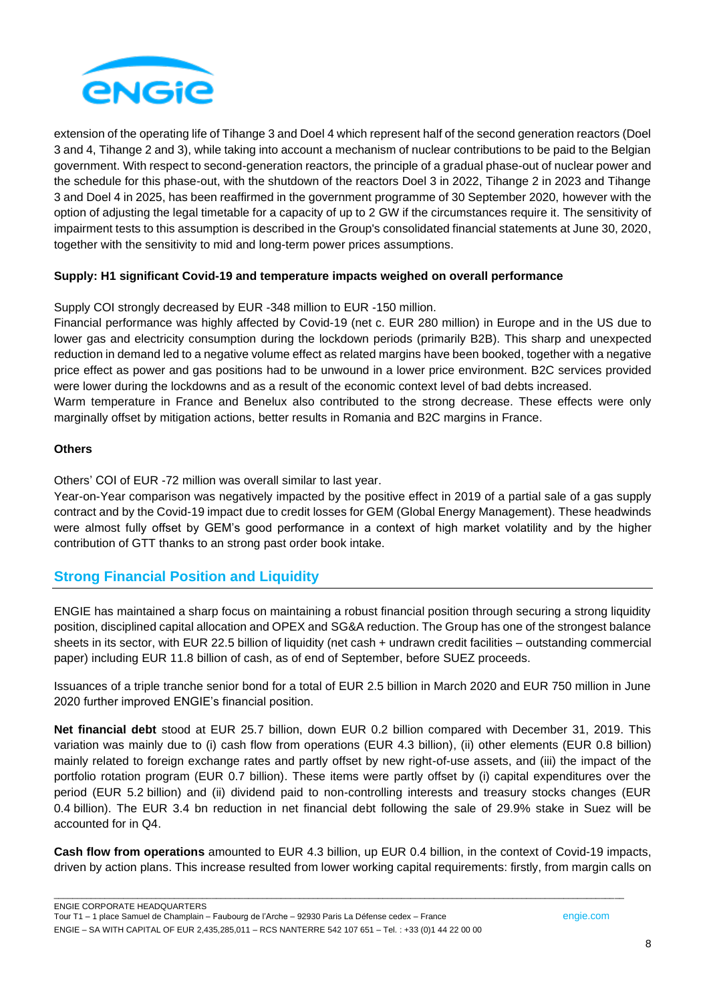

extension of the operating life of Tihange 3 and Doel 4 which represent half of the second generation reactors (Doel 3 and 4, Tihange 2 and 3), while taking into account a mechanism of nuclear contributions to be paid to the Belgian government. With respect to second-generation reactors, the principle of a gradual phase-out of nuclear power and the schedule for this phase-out, with the shutdown of the reactors Doel 3 in 2022, Tihange 2 in 2023 and Tihange 3 and Doel 4 in 2025, has been reaffirmed in the government programme of 30 September 2020, however with the option of adjusting the legal timetable for a capacity of up to 2 GW if the circumstances require it. The sensitivity of impairment tests to this assumption is described in the Group's consolidated financial statements at June 30, 2020, together with the sensitivity to mid and long-term power prices assumptions.

## **Supply: H1 significant Covid-19 and temperature impacts weighed on overall performance**

### Supply COI strongly decreased by EUR -348 million to EUR -150 million.

Financial performance was highly affected by Covid-19 (net c. EUR 280 million) in Europe and in the US due to lower gas and electricity consumption during the lockdown periods (primarily B2B). This sharp and unexpected reduction in demand led to a negative volume effect as related margins have been booked, together with a negative price effect as power and gas positions had to be unwound in a lower price environment. B2C services provided were lower during the lockdowns and as a result of the economic context level of bad debts increased.

Warm temperature in France and Benelux also contributed to the strong decrease. These effects were only marginally offset by mitigation actions, better results in Romania and B2C margins in France.

### **Others**

Others' COI of EUR -72 million was overall similar to last year.

Year-on-Year comparison was negatively impacted by the positive effect in 2019 of a partial sale of a gas supply contract and by the Covid-19 impact due to credit losses for GEM (Global Energy Management). These headwinds were almost fully offset by GEM's good performance in a context of high market volatility and by the higher contribution of GTT thanks to an strong past order book intake.

## **Strong Financial Position and Liquidity**

ENGIE has maintained a sharp focus on maintaining a robust financial position through securing a strong liquidity position, disciplined capital allocation and OPEX and SG&A reduction. The Group has one of the strongest balance sheets in its sector, with EUR 22.5 billion of liquidity (net cash + undrawn credit facilities – outstanding commercial paper) including EUR 11.8 billion of cash, as of end of September, before SUEZ proceeds.

Issuances of a triple tranche senior bond for a total of EUR 2.5 billion in March 2020 and EUR 750 million in June 2020 further improved ENGIE's financial position.

**Net financial debt** stood at EUR 25.7 billion, down EUR 0.2 billion compared with December 31, 2019. This variation was mainly due to (i) cash flow from operations (EUR 4.3 billion), (ii) other elements (EUR 0.8 billion) mainly related to foreign exchange rates and partly offset by new right-of-use assets, and (iii) the impact of the portfolio rotation program (EUR 0.7 billion). These items were partly offset by (i) capital expenditures over the period (EUR 5.2 billion) and (ii) dividend paid to non-controlling interests and treasury stocks changes (EUR 0.4 billion). The EUR 3.4 bn reduction in net financial debt following the sale of 29.9% stake in Suez will be accounted for in Q4.

**Cash flow from operations** amounted to EUR 4.3 billion, up EUR 0.4 billion, in the context of Covid-19 impacts, driven by action plans. This increase resulted from lower working capital requirements: firstly, from margin calls on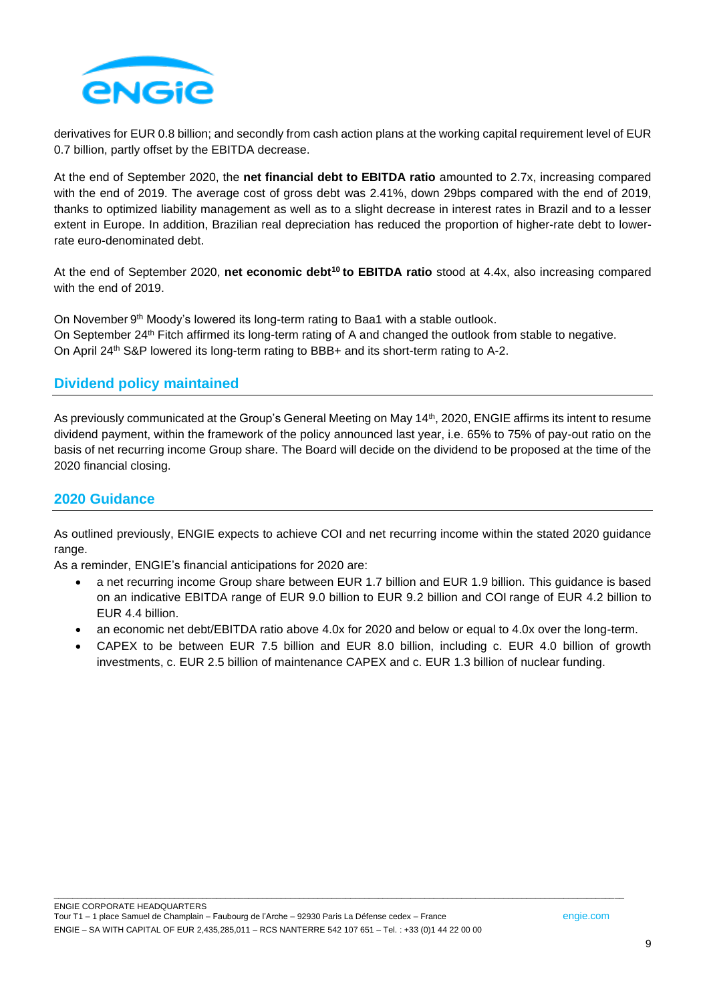

derivatives for EUR 0.8 billion; and secondly from cash action plans at the working capital requirement level of EUR 0.7 billion, partly offset by the EBITDA decrease.

At the end of September 2020, the **net financial debt to EBITDA ratio** amounted to 2.7x, increasing compared with the end of 2019. The average cost of gross debt was 2.41%, down 29bps compared with the end of 2019, thanks to optimized liability management as well as to a slight decrease in interest rates in Brazil and to a lesser extent in Europe. In addition, Brazilian real depreciation has reduced the proportion of higher-rate debt to lowerrate euro-denominated debt.

At the end of September 2020, **net economic debt<sup>10</sup> to EBITDA ratio** stood at 4.4x, also increasing compared with the end of 2019.

On November 9<sup>th</sup> Moody's lowered its long-term rating to Baa1 with a stable outlook. On September 24<sup>th</sup> Fitch affirmed its long-term rating of A and changed the outlook from stable to negative. On April 24<sup>th</sup> S&P lowered its long-term rating to BBB+ and its short-term rating to A-2.

## **Dividend policy maintained**

As previously communicated at the Group's General Meeting on May 14<sup>th</sup>, 2020, ENGIE affirms its intent to resume dividend payment, within the framework of the policy announced last year, i.e. 65% to 75% of pay-out ratio on the basis of net recurring income Group share. The Board will decide on the dividend to be proposed at the time of the 2020 financial closing.

## **2020 Guidance**

As outlined previously, ENGIE expects to achieve COI and net recurring income within the stated 2020 guidance range.

As a reminder, ENGIE's financial anticipations for 2020 are:

- a net recurring income Group share between EUR 1.7 billion and EUR 1.9 billion. This guidance is based on an indicative EBITDA range of EUR 9.0 billion to EUR 9.2 billion and COI range of EUR 4.2 billion to EUR 4.4 billion.
- an economic net debt/EBITDA ratio above 4.0x for 2020 and below or equal to 4.0x over the long-term.

\_\_\_\_\_\_\_\_\_\_\_\_\_\_\_\_\_\_\_\_\_\_\_\_\_\_\_\_\_\_\_\_\_\_\_\_\_\_\_\_\_\_\_\_\_\_\_\_\_\_\_\_\_\_\_\_\_\_\_\_\_\_\_\_\_\_\_\_\_\_\_\_\_\_\_\_\_\_\_\_\_\_\_\_\_\_\_\_\_\_\_\_\_\_\_\_\_\_\_\_\_\_\_\_\_\_\_\_\_\_\_\_\_\_\_\_\_\_\_\_\_\_\_

• CAPEX to be between EUR 7.5 billion and EUR 8.0 billion, including c. EUR 4.0 billion of growth investments, c. EUR 2.5 billion of maintenance CAPEX and c. EUR 1.3 billion of nuclear funding.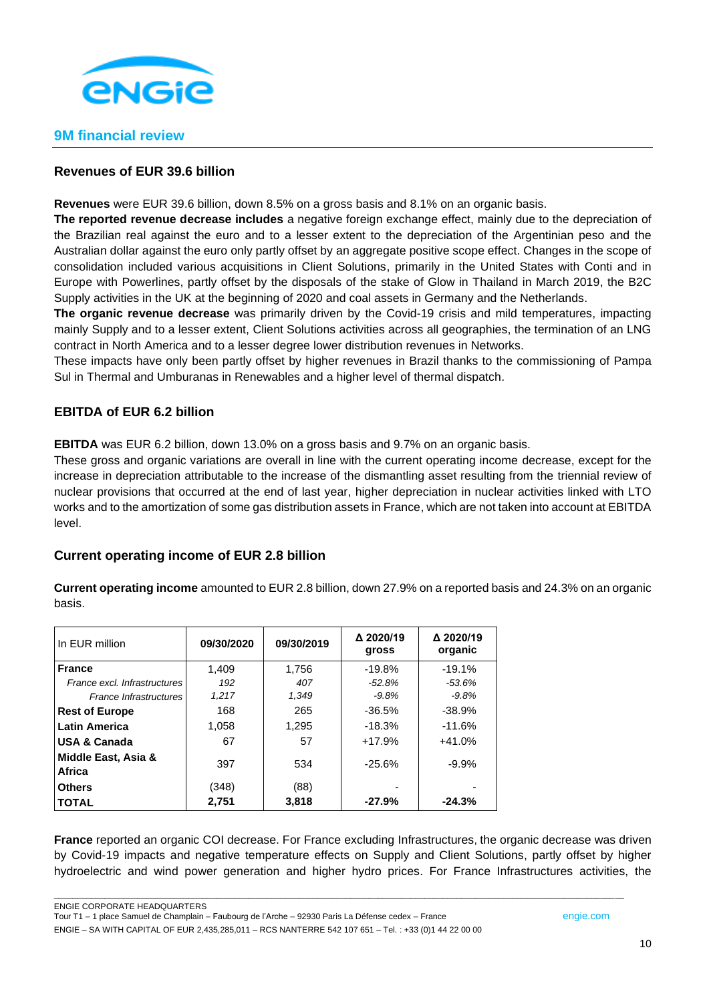

## **9M financial review**

## **Revenues of EUR 39.6 billion**

**Revenues** were EUR 39.6 billion, down 8.5% on a gross basis and 8.1% on an organic basis.

**The reported revenue decrease includes** a negative foreign exchange effect, mainly due to the depreciation of the Brazilian real against the euro and to a lesser extent to the depreciation of the Argentinian peso and the Australian dollar against the euro only partly offset by an aggregate positive scope effect. Changes in the scope of consolidation included various acquisitions in Client Solutions, primarily in the United States with Conti and in Europe with Powerlines, partly offset by the disposals of the stake of Glow in Thailand in March 2019, the B2C Supply activities in the UK at the beginning of 2020 and coal assets in Germany and the Netherlands.

**The organic revenue decrease** was primarily driven by the Covid-19 crisis and mild temperatures, impacting mainly Supply and to a lesser extent, Client Solutions activities across all geographies, the termination of an LNG contract in North America and to a lesser degree lower distribution revenues in Networks.

These impacts have only been partly offset by higher revenues in Brazil thanks to the commissioning of Pampa Sul in Thermal and Umburanas in Renewables and a higher level of thermal dispatch.

## **EBITDA of EUR 6.2 billion**

**EBITDA** was EUR 6.2 billion, down 13.0% on a gross basis and 9.7% on an organic basis.

These gross and organic variations are overall in line with the current operating income decrease, except for the increase in depreciation attributable to the increase of the dismantling asset resulting from the triennial review of nuclear provisions that occurred at the end of last year, higher depreciation in nuclear activities linked with LTO works and to the amortization of some gas distribution assets in France, which are not taken into account at EBITDA level.

## **Current operating income of EUR 2.8 billion**

**Current operating income** amounted to EUR 2.8 billion, down 27.9% on a reported basis and 24.3% on an organic basis.

| In EUR million                | 09/30/2020 | 09/30/2019 | Δ 2020/19<br>gross | Δ 2020/19<br>organic |
|-------------------------------|------------|------------|--------------------|----------------------|
| <b>France</b>                 | 1.409      | 1,756      | $-19.8%$           | $-19.1%$             |
| France excl. Infrastructures  | 192        | 407        | -52.8%             | $-53.6%$             |
| <b>France Infrastructures</b> | 1.217      | 1,349      | $-9.8\%$           | $-9.8%$              |
| <b>Rest of Europe</b>         | 168        | 265        | $-36.5%$           | $-38.9%$             |
| <b>Latin America</b>          | 1.058      | 1,295      | $-18.3%$           | $-11.6%$             |
| <b>USA &amp; Canada</b>       | 67         | 57         | $+17.9%$           | $+41.0%$             |
| Middle East, Asia &<br>Africa | 397        | 534        | $-25.6%$           | $-9.9\%$             |
| <b>Others</b>                 | (348)      | (88)       |                    |                      |
| <b>TOTAL</b>                  | 2,751      | 3,818      | $-27.9%$           | $-24.3%$             |

**France** reported an organic COI decrease. For France excluding Infrastructures, the organic decrease was driven by Covid-19 impacts and negative temperature effects on Supply and Client Solutions, partly offset by higher hydroelectric and wind power generation and higher hydro prices. For France Infrastructures activities, the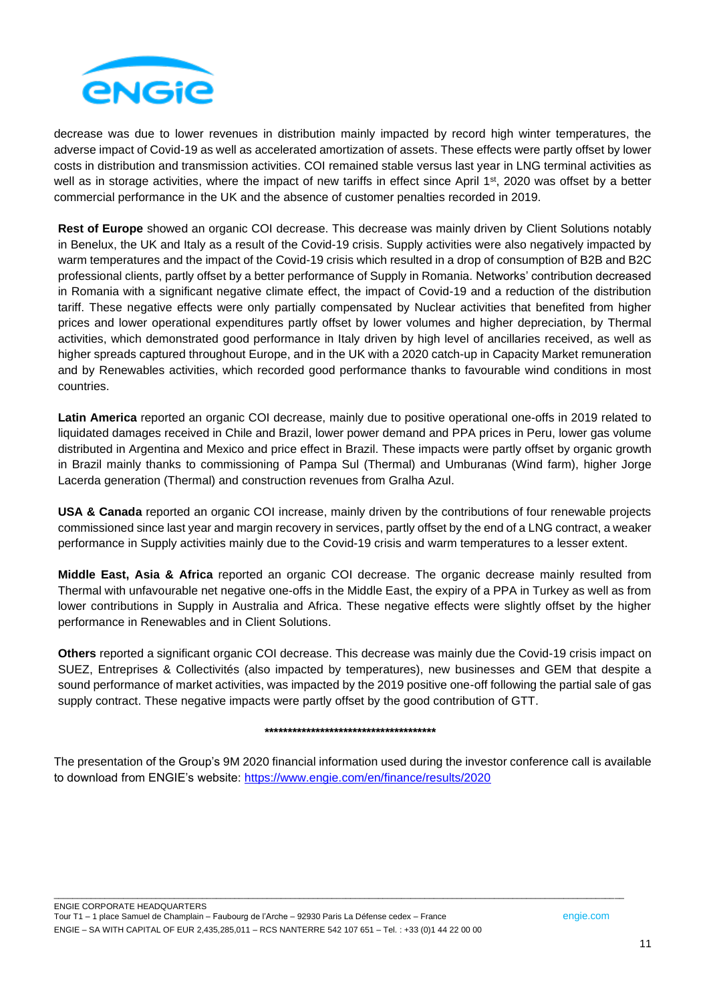

decrease was due to lower revenues in distribution mainly impacted by record high winter temperatures, the adverse impact of Covid-19 as well as accelerated amortization of assets. These effects were partly offset by lower costs in distribution and transmission activities. COI remained stable versus last year in LNG terminal activities as well as in storage activities, where the impact of new tariffs in effect since April 1<sup>st</sup>, 2020 was offset by a better commercial performance in the UK and the absence of customer penalties recorded in 2019.

**Rest of Europe** showed an organic COI decrease. This decrease was mainly driven by Client Solutions notably in Benelux, the UK and Italy as a result of the Covid-19 crisis. Supply activities were also negatively impacted by warm temperatures and the impact of the Covid-19 crisis which resulted in a drop of consumption of B2B and B2C professional clients, partly offset by a better performance of Supply in Romania. Networks' contribution decreased in Romania with a significant negative climate effect, the impact of Covid-19 and a reduction of the distribution tariff. These negative effects were only partially compensated by Nuclear activities that benefited from higher prices and lower operational expenditures partly offset by lower volumes and higher depreciation, by Thermal activities, which demonstrated good performance in Italy driven by high level of ancillaries received, as well as higher spreads captured throughout Europe, and in the UK with a 2020 catch-up in Capacity Market remuneration and by Renewables activities, which recorded good performance thanks to favourable wind conditions in most countries.

**Latin America** reported an organic COI decrease, mainly due to positive operational one-offs in 2019 related to liquidated damages received in Chile and Brazil, lower power demand and PPA prices in Peru, lower gas volume distributed in Argentina and Mexico and price effect in Brazil. These impacts were partly offset by organic growth in Brazil mainly thanks to commissioning of Pampa Sul (Thermal) and Umburanas (Wind farm), higher Jorge Lacerda generation (Thermal) and construction revenues from Gralha Azul.

**USA & Canada** reported an organic COI increase, mainly driven by the contributions of four renewable projects commissioned since last year and margin recovery in services, partly offset by the end of a LNG contract, a weaker performance in Supply activities mainly due to the Covid-19 crisis and warm temperatures to a lesser extent.

**Middle East, Asia & Africa** reported an organic COI decrease. The organic decrease mainly resulted from Thermal with unfavourable net negative one-offs in the Middle East, the expiry of a PPA in Turkey as well as from lower contributions in Supply in Australia and Africa. These negative effects were slightly offset by the higher performance in Renewables and in Client Solutions.

**Others** reported a significant organic COI decrease. This decrease was mainly due the Covid-19 crisis impact on SUEZ, Entreprises & Collectivités (also impacted by temperatures), new businesses and GEM that despite a sound performance of market activities, was impacted by the 2019 positive one-off following the partial sale of gas supply contract. These negative impacts were partly offset by the good contribution of GTT.

#### **\*\*\*\*\*\*\*\*\*\*\*\*\*\*\*\*\*\*\*\*\*\*\*\*\*\*\*\*\*\*\*\*\*\*\*\*\***

The presentation of the Group's 9M 2020 financial information used during the investor conference call is available to download from ENGIE's website: <https://www.engie.com/en/finance/results/2020>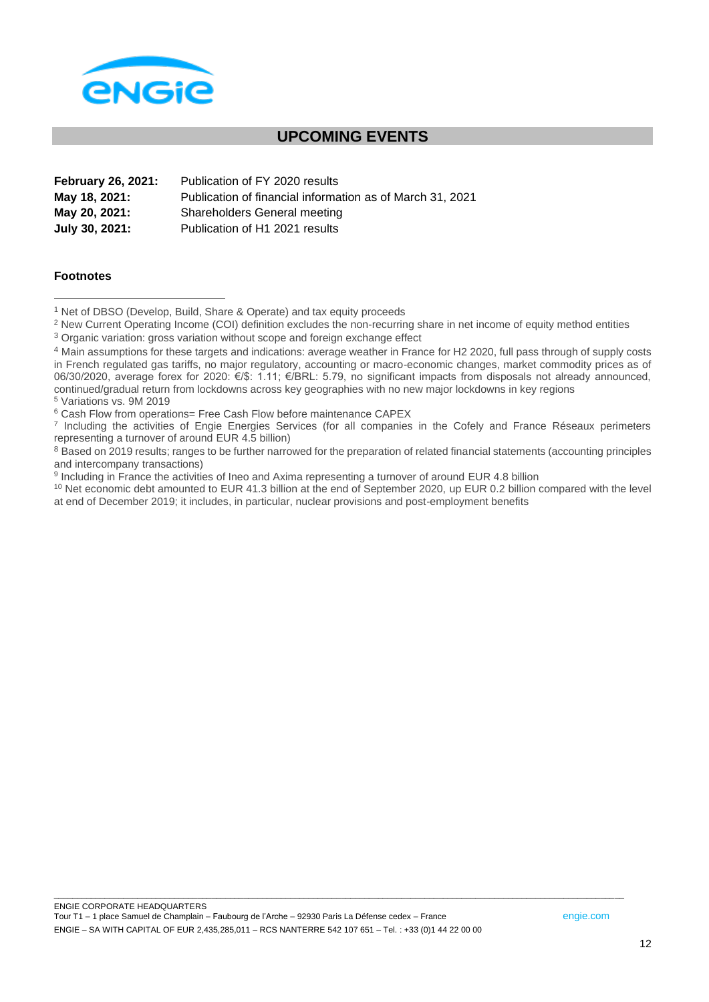

## **UPCOMING EVENTS**

| <b>February 26, 2021:</b> | Publication of FY 2020 results                            |
|---------------------------|-----------------------------------------------------------|
| May 18, 2021:             | Publication of financial information as of March 31, 2021 |
| May 20, 2021:             | Shareholders General meeting                              |
| July 30, 2021:            | Publication of H1 2021 results                            |

#### **Footnotes**

<sup>6</sup> Cash Flow from operations= Free Cash Flow before maintenance CAPEX

- <sup>8</sup> Based on 2019 results; ranges to be further narrowed for the preparation of related financial statements (accounting principles and intercompany transactions)
- 9 Including in France the activities of Ineo and Axima representing a turnover of around EUR 4.8 billion
- <sup>10</sup> Net economic debt amounted to EUR 41.3 billion at the end of September 2020, up EUR 0.2 billion compared with the level at end of December 2019; it includes, in particular, nuclear provisions and post-employment benefits

<sup>1</sup> Net of DBSO (Develop, Build, Share & Operate) and tax equity proceeds

<sup>&</sup>lt;sup>2</sup> New Current Operating Income (COI) definition excludes the non-recurring share in net income of equity method entities

<sup>&</sup>lt;sup>3</sup> Organic variation: gross variation without scope and foreign exchange effect

<sup>4</sup> Main assumptions for these targets and indications: average weather in France for H2 2020, full pass through of supply costs in French regulated gas tariffs, no major regulatory, accounting or macro-economic changes, market commodity prices as of 06/30/2020, average forex for 2020: €/\$: 1.11; €/BRL: 5.79, no significant impacts from disposals not already announced, continued/gradual return from lockdowns across key geographies with no new major lockdowns in key regions <sup>5</sup> Variations vs. 9M 2019

<sup>7</sup> Including the activities of Engie Energies Services (for all companies in the Cofely and France Réseaux perimeters representing a turnover of around EUR 4.5 billion)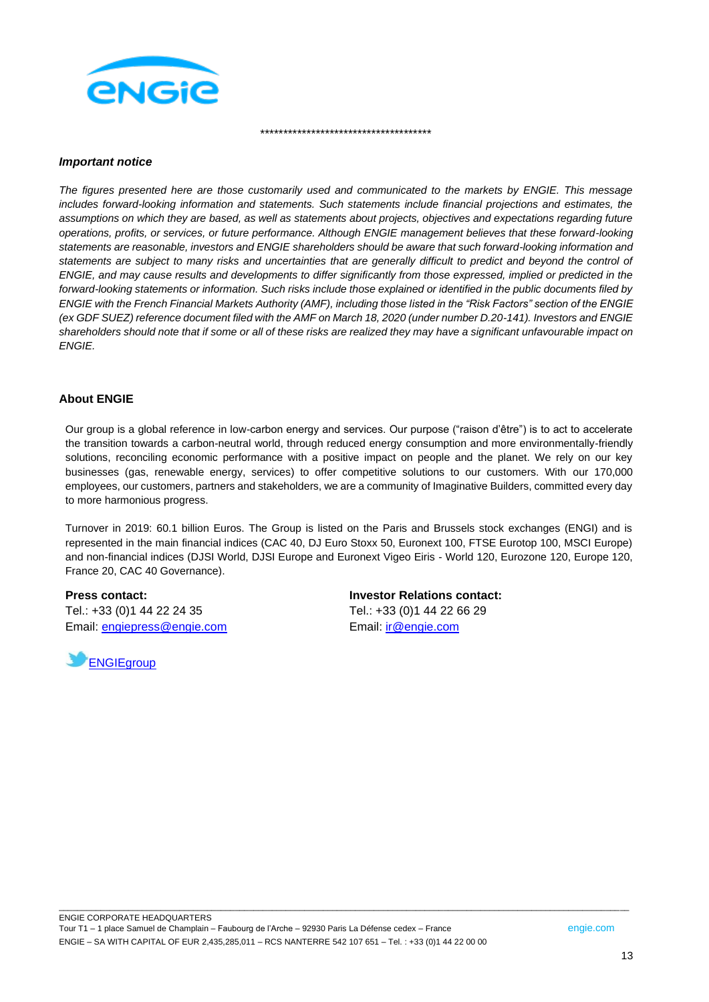

#### *Important notice*

*The figures presented here are those customarily used and communicated to the markets by ENGIE. This message includes forward-looking information and statements. Such statements include financial projections and estimates, the assumptions on which they are based, as well as statements about projects, objectives and expectations regarding future operations, profits, or services, or future performance. Although ENGIE management believes that these forward-looking statements are reasonable, investors and ENGIE shareholders should be aware that such forward-looking information and statements are subject to many risks and uncertainties that are generally difficult to predict and beyond the control of ENGIE, and may cause results and developments to differ significantly from those expressed, implied or predicted in the forward-looking statements or information. Such risks include those explained or identified in the public documents filed by ENGIE with the French Financial Markets Authority (AMF), including those listed in the "Risk Factors" section of the ENGIE (ex GDF SUEZ) reference document filed with the AMF on March 18, 2020 (under number D.20-141). Investors and ENGIE shareholders should note that if some or all of these risks are realized they may have a significant unfavourable impact on ENGIE.*

\*\*\*\*\*\*\*\*\*\*\*\*\*\*\*\*\*\*\*\*\*\*\*\*\*\*\*\*\*\*\*\*\*\*\*\*\*

#### **About ENGIE**

Our group is a global reference in low-carbon energy and services. Our purpose ("raison d'être") is to act to accelerate the transition towards a carbon-neutral world, through reduced energy consumption and more environmentally-friendly solutions, reconciling economic performance with a positive impact on people and the planet. We rely on our key businesses (gas, renewable energy, services) to offer competitive solutions to our customers. With our 170,000 employees, our customers, partners and stakeholders, we are a community of Imaginative Builders, committed every day to more harmonious progress.

Turnover in 2019: 60.1 billion Euros. The Group is listed on the Paris and Brussels stock exchanges (ENGI) and is represented in the main financial indices (CAC 40, DJ Euro Stoxx 50, Euronext 100, FTSE Eurotop 100, MSCI Europe) and non-financial indices (DJSI World, DJSI Europe and Euronext Vigeo Eiris - World 120, Eurozone 120, Europe 120, France 20, CAC 40 Governance).

\_\_\_\_\_\_\_\_\_\_\_\_\_\_\_\_\_\_\_\_\_\_\_\_\_\_\_\_\_\_\_\_\_\_\_\_\_\_\_\_\_\_\_\_\_\_\_\_\_\_\_\_\_\_\_\_\_\_\_\_\_\_\_\_\_\_\_\_\_\_\_\_\_\_\_\_\_\_\_\_\_\_\_\_\_\_\_\_\_\_\_\_\_\_\_\_\_\_\_\_\_\_\_\_\_\_\_\_\_\_\_\_\_\_\_\_\_\_\_\_\_\_\_

**Press contact:** Tel.: +33 (0)1 44 22 24 35 Email: [engiepress@engie.com](mailto:engiepress@engie.com)



**Investor Relations contact:** Tel.: +33 (0)1 44 22 66 29 Email: [ir@engie.com](mailto:ir@engie.com)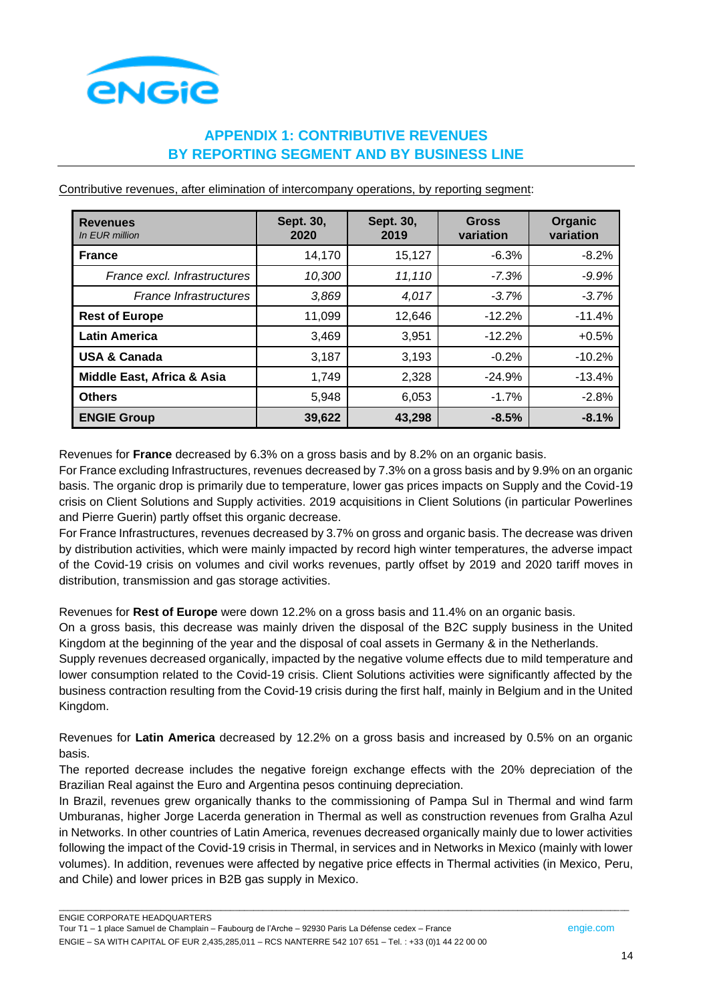

# **APPENDIX 1: CONTRIBUTIVE REVENUES BY REPORTING SEGMENT AND BY BUSINESS LINE**

| <b>Revenues</b><br>In EUR million | Sept. 30,<br>2020 | Sept. 30,<br>2019 | Gross<br>variation | Organic<br>variation |
|-----------------------------------|-------------------|-------------------|--------------------|----------------------|
| <b>France</b>                     | 14,170            | 15,127            | $-6.3%$            | $-8.2%$              |
| France excl. Infrastructures      | 10,300            | 11,110            | $-7.3%$            | $-9.9%$              |
| <b>France Infrastructures</b>     | 3,869             | 4,017             | $-3.7%$            | $-3.7%$              |
| <b>Rest of Europe</b>             | 11,099            | 12,646            | $-12.2%$           | $-11.4%$             |
| <b>Latin America</b>              | 3,469             | 3,951             | $-12.2%$           | $+0.5%$              |
| <b>USA &amp; Canada</b>           | 3,187             | 3,193             | $-0.2%$            | $-10.2%$             |
| Middle East, Africa & Asia        | 1,749             | 2,328             | $-24.9%$           | $-13.4%$             |
| <b>Others</b>                     | 5,948             | 6,053             | $-1.7%$            | $-2.8%$              |
| <b>ENGIE Group</b>                | 39,622            | 43,298            | $-8.5%$            | $-8.1%$              |

Contributive revenues, after elimination of intercompany operations, by reporting segment:

Revenues for **France** decreased by 6.3% on a gross basis and by 8.2% on an organic basis.

For France excluding Infrastructures, revenues decreased by 7.3% on a gross basis and by 9.9% on an organic basis. The organic drop is primarily due to temperature, lower gas prices impacts on Supply and the Covid-19 crisis on Client Solutions and Supply activities. 2019 acquisitions in Client Solutions (in particular Powerlines and Pierre Guerin) partly offset this organic decrease.

For France Infrastructures, revenues decreased by 3.7% on gross and organic basis. The decrease was driven by distribution activities, which were mainly impacted by record high winter temperatures, the adverse impact of the Covid-19 crisis on volumes and civil works revenues, partly offset by 2019 and 2020 tariff moves in distribution, transmission and gas storage activities.

Revenues for **Rest of Europe** were down 12.2% on a gross basis and 11.4% on an organic basis.

On a gross basis, this decrease was mainly driven the disposal of the B2C supply business in the United Kingdom at the beginning of the year and the disposal of coal assets in Germany & in the Netherlands.

Supply revenues decreased organically, impacted by the negative volume effects due to mild temperature and lower consumption related to the Covid-19 crisis. Client Solutions activities were significantly affected by the business contraction resulting from the Covid-19 crisis during the first half, mainly in Belgium and in the United Kingdom.

Revenues for **Latin America** decreased by 12.2% on a gross basis and increased by 0.5% on an organic basis.

The reported decrease includes the negative foreign exchange effects with the 20% depreciation of the Brazilian Real against the Euro and Argentina pesos continuing depreciation.

In Brazil, revenues grew organically thanks to the commissioning of Pampa Sul in Thermal and wind farm Umburanas, higher Jorge Lacerda generation in Thermal as well as construction revenues from Gralha Azul in Networks. In other countries of Latin America, revenues decreased organically mainly due to lower activities following the impact of the Covid-19 crisis in Thermal, in services and in Networks in Mexico (mainly with lower volumes). In addition, revenues were affected by negative price effects in Thermal activities (in Mexico, Peru, and Chile) and lower prices in B2B gas supply in Mexico.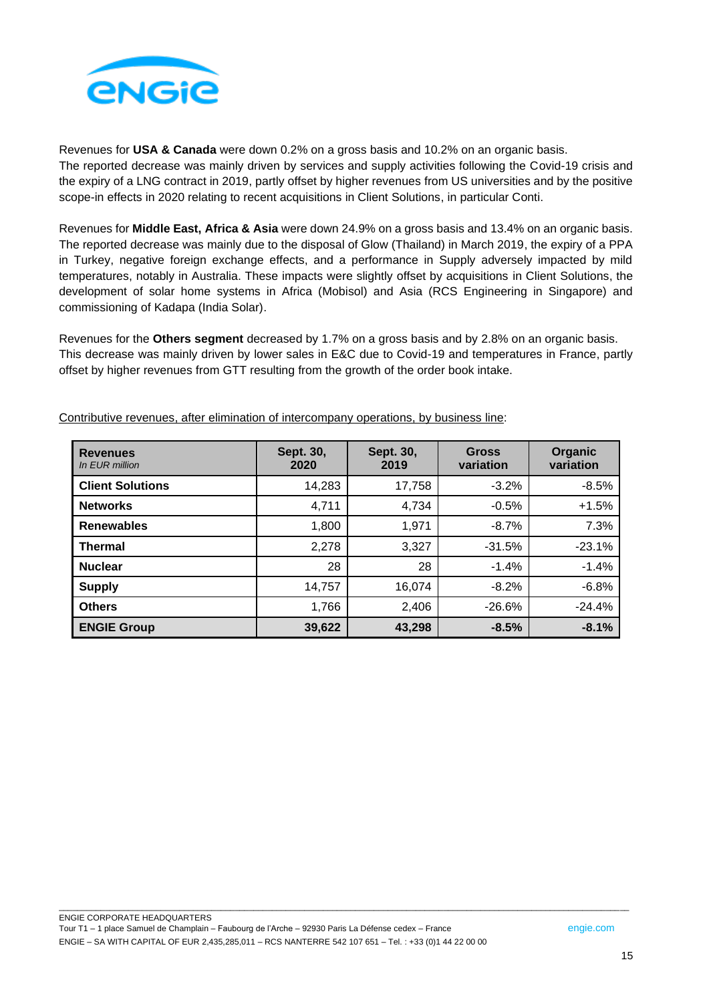

Revenues for **USA & Canada** were down 0.2% on a gross basis and 10.2% on an organic basis. The reported decrease was mainly driven by services and supply activities following the Covid-19 crisis and the expiry of a LNG contract in 2019, partly offset by higher revenues from US universities and by the positive scope-in effects in 2020 relating to recent acquisitions in Client Solutions, in particular Conti.

Revenues for **Middle East, Africa & Asia** were down 24.9% on a gross basis and 13.4% on an organic basis. The reported decrease was mainly due to the disposal of Glow (Thailand) in March 2019, the expiry of a PPA in Turkey, negative foreign exchange effects, and a performance in Supply adversely impacted by mild temperatures, notably in Australia. These impacts were slightly offset by acquisitions in Client Solutions, the development of solar home systems in Africa (Mobisol) and Asia (RCS Engineering in Singapore) and commissioning of Kadapa (India Solar).

Revenues for the **Others segment** decreased by 1.7% on a gross basis and by 2.8% on an organic basis. This decrease was mainly driven by lower sales in E&C due to Covid-19 and temperatures in France, partly offset by higher revenues from GTT resulting from the growth of the order book intake.

| <b>Revenues</b><br>In EUR million | Sept. 30,<br>2020 | Sept. 30,<br>2019 | <b>Gross</b><br>variation | Organic<br>variation |
|-----------------------------------|-------------------|-------------------|---------------------------|----------------------|
| <b>Client Solutions</b>           | 14,283            | 17,758            | $-3.2%$                   | $-8.5%$              |
| <b>Networks</b>                   | 4,711             | 4,734             | $-0.5%$                   | $+1.5%$              |
| <b>Renewables</b>                 | 1,800             | 1,971             | $-8.7\%$                  | 7.3%                 |
| <b>Thermal</b>                    | 2,278             | 3,327             | $-31.5%$                  | $-23.1%$             |
| <b>Nuclear</b>                    | 28                | 28                | $-1.4%$                   | $-1.4%$              |
| <b>Supply</b>                     | 14,757            | 16,074            | $-8.2%$                   | $-6.8%$              |
| <b>Others</b>                     | 1,766             | 2,406             | $-26.6%$                  | $-24.4%$             |
| <b>ENGIE Group</b>                | 39,622            | 43,298            | $-8.5%$                   | $-8.1%$              |

Contributive revenues, after elimination of intercompany operations, by business line: